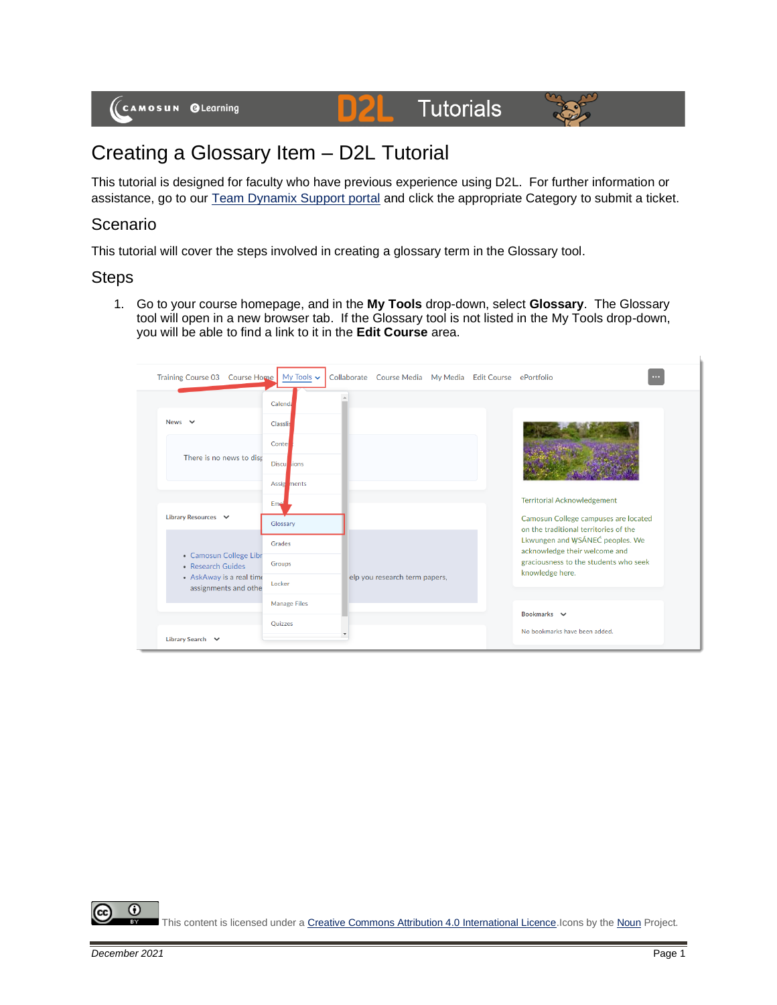

## Creating a Glossary Item – D2L Tutorial

This tutorial is designed for faculty who have previous experience using D2L. For further information or assistance, go to our [Team Dynamix Support portal](https://camosun.teamdynamix.com/TDClient/67/Portal/Requests/ServiceCatalog?CategoryID=523) and click the appropriate Category to submit a ticket.

## Scenario

This tutorial will cover the steps involved in creating a glossary term in the Glossary tool.

## **Steps**

1. Go to your course homepage, and in the **My Tools** drop-down, select **Glossary**. The Glossary tool will open in a new browser tab. If the Glossary tool is not listed in the My Tools drop-down, you will be able to find a link to it in the **Edit Course** area.



 $\odot$ This content is licensed under [a Creative Commons Attribution 4.0 International Licence.I](https://creativecommons.org/licenses/by/4.0/)cons by th[e Noun](https://creativecommons.org/website-icons/) Project.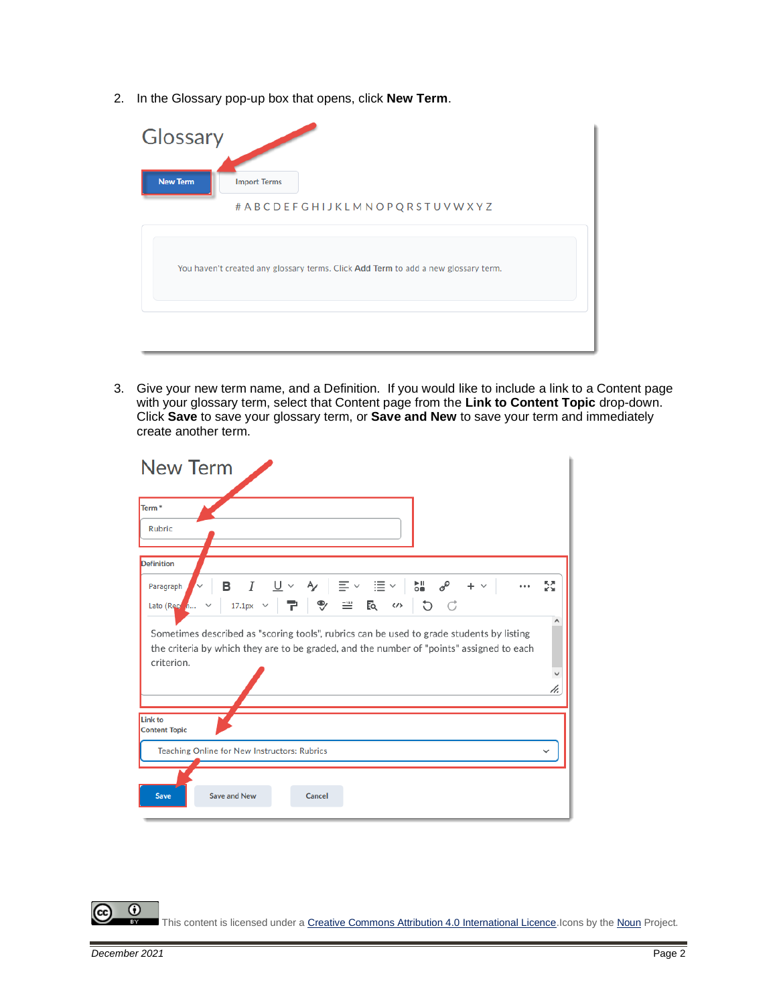2. In the Glossary pop-up box that opens, click **New Term**.

| Glossary        |                                                                                    |
|-----------------|------------------------------------------------------------------------------------|
| <b>New Term</b> | <b>Import Terms</b>                                                                |
|                 | # A B C D E F G H I J K L M N O P Q R S T U V W X Y Z                              |
|                 | You haven't created any glossary terms. Click Add Term to add a new glossary term. |
|                 |                                                                                    |

3. Give your new term name, and a Definition. If you would like to include a link to a Content page with your glossary term, select that Content page from the **Link to Content Topic** drop-down. Click **Save** to save your glossary term, or **Save and New** to save your term and immediately create another term.

| <b>New Term</b>                                                                                                                                                                                    |    |
|----------------------------------------------------------------------------------------------------------------------------------------------------------------------------------------------------|----|
| Term <sup>*</sup><br><b>Rubric</b>                                                                                                                                                                 |    |
| <b>Definition</b>                                                                                                                                                                                  |    |
| I<br>в<br>$+$<br>Paragraph<br>7 9 8 5<br>5C<br>$\langle \rangle$<br>17.1px $\sim$<br>Lato (Recom                                                                                                   | 5G |
| Sometimes described as "scoring tools", rubrics can be used to grade students by listing<br>the criteria by which they are to be graded, and the number of "points" assigned to each<br>criterion. |    |
|                                                                                                                                                                                                    | h. |
| Link to<br><b>Content Topic</b>                                                                                                                                                                    |    |
| Teaching Online for New Instructors: Rubrics                                                                                                                                                       |    |
|                                                                                                                                                                                                    |    |
| <b>Save and New</b><br>Cancel<br><b>Save</b>                                                                                                                                                       |    |

 $\odot$ (cc) This content is licensed under [a Creative Commons Attribution 4.0 International Licence.I](https://creativecommons.org/licenses/by/4.0/)cons by th[e Noun](https://creativecommons.org/website-icons/) Project. вy